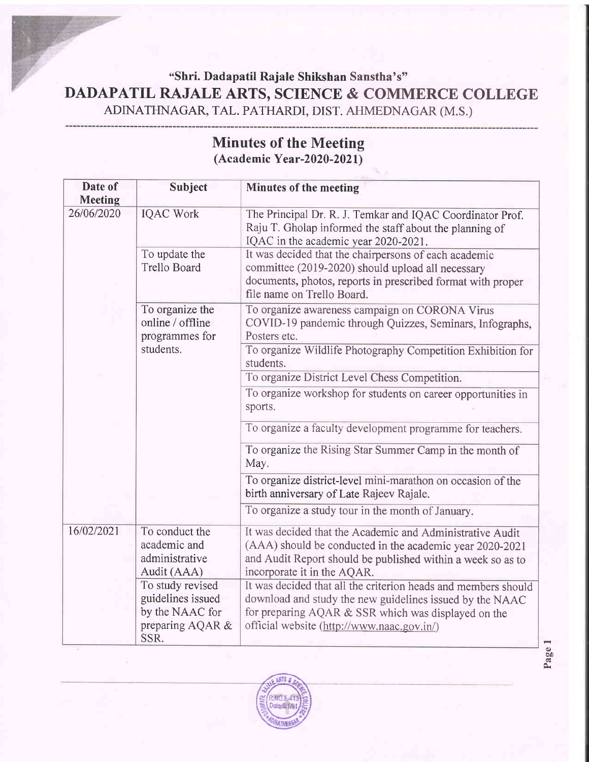## "Shri. Dadapatil Rajale Shikshan Sanstha's" **DADAPATIL RAJALE ARTS, SCIENCE & COMMERCE COLLEGE** ADINATHNAGAR, TAL. PATHARDI. DIST. AHMEDNAGAR (M.S.)

| Date of        |                                                                                      |                                                                                                                                                                                                                                 |
|----------------|--------------------------------------------------------------------------------------|---------------------------------------------------------------------------------------------------------------------------------------------------------------------------------------------------------------------------------|
| <b>Meeting</b> | <b>Subject</b>                                                                       | <b>Minutes of the meeting</b>                                                                                                                                                                                                   |
| 26/06/2020     | <b>IQAC Work</b>                                                                     | The Principal Dr. R. J. Temkar and IQAC Coordinator Prof.<br>Raju T. Gholap informed the staff about the planning of<br>IQAC in the academic year 2020-2021.                                                                    |
|                | To update the<br><b>Trello Board</b>                                                 | It was decided that the chairpersons of each academic<br>committee (2019-2020) should upload all necessary<br>documents, photos, reports in prescribed format with proper<br>file name on Trello Board.                         |
|                | To organize the<br>online / offline<br>programmes for                                | To organize awareness campaign on CORONA Virus<br>COVID-19 pandemic through Quizzes, Seminars, Infographs,<br>Posters etc.                                                                                                      |
|                | students.                                                                            | To organize Wildlife Photography Competition Exhibition for<br>students.                                                                                                                                                        |
|                |                                                                                      | To organize District Level Chess Competition.                                                                                                                                                                                   |
|                |                                                                                      | To organize workshop for students on career opportunities in<br>sports.                                                                                                                                                         |
|                |                                                                                      | To organize a faculty development programme for teachers.                                                                                                                                                                       |
|                |                                                                                      | To organize the Rising Star Summer Camp in the month of<br>May.                                                                                                                                                                 |
|                |                                                                                      | To organize district-level mini-marathon on occasion of the<br>birth anniversary of Late Rajeev Rajale.                                                                                                                         |
|                |                                                                                      | To organize a study tour in the month of January.                                                                                                                                                                               |
| 16/02/2021     | To conduct the<br>academic and<br>administrative<br>Audit (AAA)                      | It was decided that the Academic and Administrative Audit<br>(AAA) should be conducted in the academic year 2020-2021<br>and Audit Report should be published within a week so as to<br>incorporate it in the AQAR.             |
|                | To study revised<br>guidelines issued<br>by the NAAC for<br>preparing AQAR &<br>SSR. | It was decided that all the criterion heads and members should<br>download and study the new guidelines issued by the NAAC<br>for preparing AQAR & SSR which was displayed on the<br>official website (http://www.naac.gov.in/) |

## Minutes of the Meeting  $(Academic Year-2020-2021)$

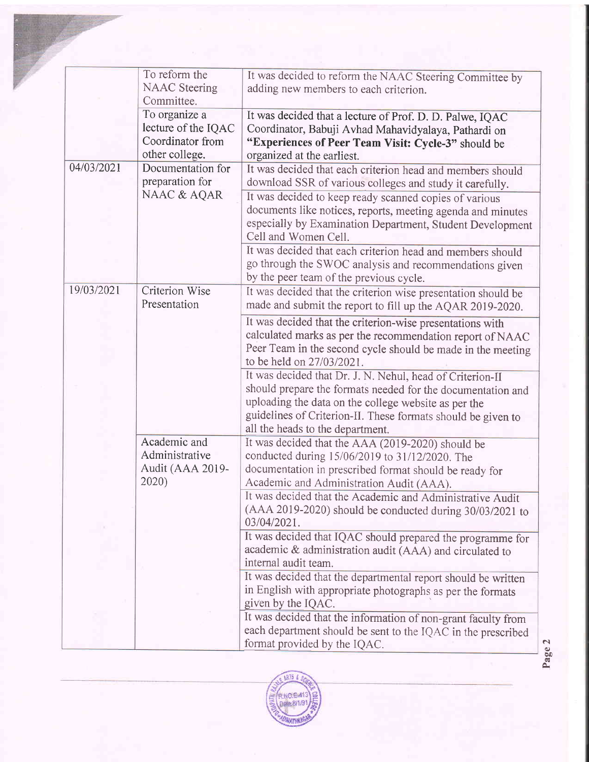|            | To reform the<br><b>NAAC</b> Steering<br>Committee.                        | It was decided to reform the NAAC Steering Committee by<br>adding new members to each criterion.                                                                                                                                                                                     |
|------------|----------------------------------------------------------------------------|--------------------------------------------------------------------------------------------------------------------------------------------------------------------------------------------------------------------------------------------------------------------------------------|
|            | To organize a<br>lecture of the IQAC<br>Coordinator from<br>other college. | It was decided that a lecture of Prof. D. D. Palwe, IQAC<br>Coordinator, Babuji Avhad Mahavidyalaya, Pathardi on<br>"Experiences of Peer Team Visit: Cycle-3" should be<br>organized at the earliest.                                                                                |
| 04/03/2021 | Documentation for<br>preparation for                                       | It was decided that each criterion head and members should<br>download SSR of various colleges and study it carefully.                                                                                                                                                               |
|            | NAAC & AQAR                                                                | It was decided to keep ready scanned copies of various<br>documents like notices, reports, meeting agenda and minutes<br>especially by Examination Department, Student Development<br>Cell and Women Cell.                                                                           |
|            |                                                                            | It was decided that each criterion head and members should<br>go through the SWOC analysis and recommendations given<br>by the peer team of the previous cycle.                                                                                                                      |
| 19/03/2021 | <b>Criterion Wise</b><br>Presentation                                      | It was decided that the criterion wise presentation should be<br>made and submit the report to fill up the AQAR 2019-2020.                                                                                                                                                           |
|            |                                                                            | It was decided that the criterion-wise presentations with<br>calculated marks as per the recommendation report of NAAC<br>Peer Team in the second cycle should be made in the meeting<br>to be held on 27/03/2021.                                                                   |
|            |                                                                            | It was decided that Dr. J. N. Nehul, head of Criterion-II<br>should prepare the formats needed for the documentation and<br>uploading the data on the college website as per the<br>guidelines of Criterion-II. These formats should be given to<br>all the heads to the department. |
|            | Academic and<br>Administrative<br>Audit (AAA 2019-<br>2020)                | It was decided that the AAA (2019-2020) should be<br>conducted during 15/06/2019 to 31/12/2020. The<br>documentation in prescribed format should be ready for<br>Academic and Administration Audit (AAA).                                                                            |
|            |                                                                            | It was decided that the Academic and Administrative Audit<br>(AAA 2019-2020) should be conducted during 30/03/2021 to<br>03/04/2021.                                                                                                                                                 |
|            |                                                                            | It was decided that IQAC should prepared the programme for<br>academic & administration audit (AAA) and circulated to<br>internal audit team.                                                                                                                                        |
|            |                                                                            | It was decided that the departmental report should be written<br>in English with appropriate photographs as per the formats<br>given by the IQAC.                                                                                                                                    |
|            |                                                                            | It was decided that the information of non-grant faculty from<br>each department should be sent to the IQAC in the prescribed<br>format provided by the IQAC.                                                                                                                        |



q) bo